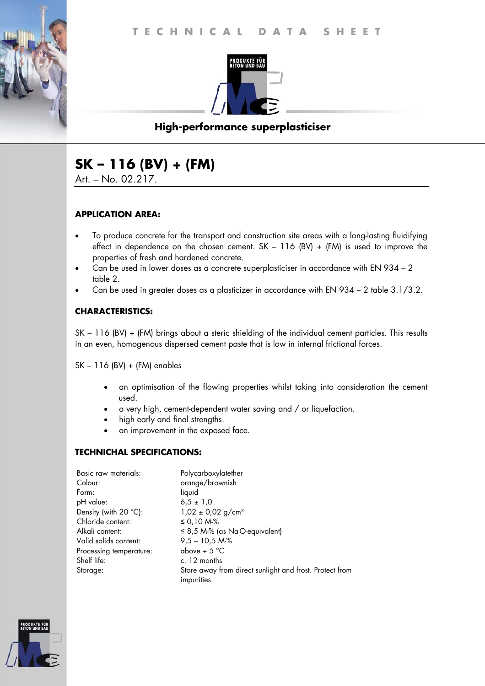

# **High-performance superplasticiser**

# **SK – 116 (BV) + (FM)**

Art. – No. 02.217.

## **APPLICATION AREA:**

- To produce concrete for the transport and construction site areas with a long-lasting fluidifying effect in dependence on the chosen cement.  $SK - 116$  (BV) + (FM) is used to improve the properties of fresh and hardened concrete.
- Can be used in lower doses as a concrete superplasticiser in accordance with EN 934 2 table 2.
- Can be used in greater doses as a plasticizer in accordance with EN 934 2 table 3.1/3.2.

## **CHARACTERISTICS:**

SK – 116 (BV) + (FM) brings about a steric shielding of the individual cement particles. This results in an even, homogenous dispersed cement paste that is low in internal frictional forces.

SK – 116 (BV) + (FM) enables

- an optimisation of the flowing properties whilst taking into consideration the cement used.
- a very high, cement-dependent water saving and / or liquefaction.
- high early and final strengths.
- an improvement in the exposed face.

### **TECHNICHAL SPECIFICATIONS:**

| Basic raw materials:    | Polycarboxylatether                                                    |
|-------------------------|------------------------------------------------------------------------|
| Colour:                 | orange/brownish                                                        |
| Form:                   | liquid                                                                 |
| pH value:               | $6.5 \pm 1.0$                                                          |
| Density (with 20 °C):   | $1,02 \pm 0,02$ g/cm <sup>3</sup>                                      |
| Chloride content:       | ≤ 0,10 M-%                                                             |
| Alkali content:         | $\leq$ 8,5 M-% (as NaO-equivalent)                                     |
| Valid solids content:   | $9,5 - 10,5 M\%$                                                       |
| Processing temperature: | above + $5^{\circ}$ C                                                  |
| Shelf life:             | c. 12 months                                                           |
| Storage:                | Store away from direct sunlight and frost. Protect from<br>impurities. |